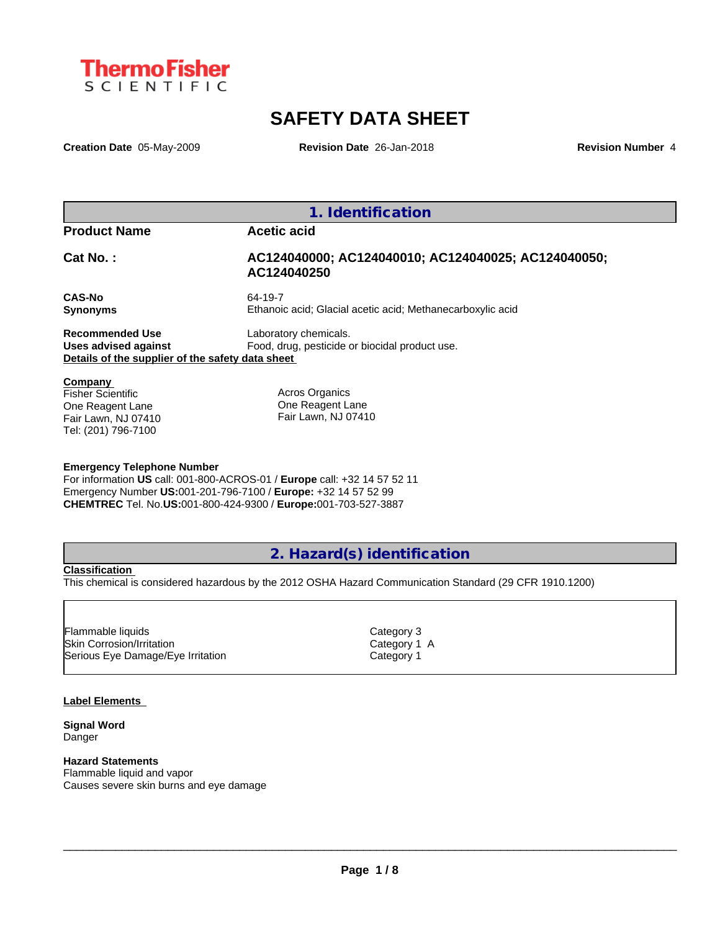

# **SAFETY DATA SHEET**

**Creation Date** 05-May-2009 **Revision Date** 26-Jan-2018 **Revision Number** 4

**1. Identification Product Name by Acetic acid Cat No. : AC124040000; AC124040010; AC124040025; AC124040050; AC124040250 CAS-No** 64-19-7 **Synonyms** Ethanoic acid; Glacial acetic acid; Methanecarboxylic acid **Recommended Use** Laboratory chemicals. **Uses advised against** Food, drug, pesticide or biocidal product use. **Details of the supplier of the safety data sheet Company**  Fisher Scientific Acros Organics

One Reagent Lane Fair Lawn, NJ 07410 Tel: (201) 796-7100

One Reagent Lane Fair Lawn, NJ 07410

#### **Emergency Telephone Number**

For information **US** call: 001-800-ACROS-01 / **Europe** call: +32 14 57 52 11 Emergency Number **US:**001-201-796-7100 / **Europe:** +32 14 57 52 99 **CHEMTREC** Tel. No.**US:**001-800-424-9300 / **Europe:**001-703-527-3887

**2. Hazard(s) identification**

#### **Classification**

This chemical is considered hazardous by the 2012 OSHA Hazard Communication Standard (29 CFR 1910.1200)

Skin Corrosion/Irritation Category 1 A Serious Eye Damage/Eye Irritation Category 1 Flammable liquids **Category 3** 

#### **Label Elements**

**Signal Word** Danger

#### **Hazard Statements**

Flammable liquid and vapor Causes severe skin burns and eye damage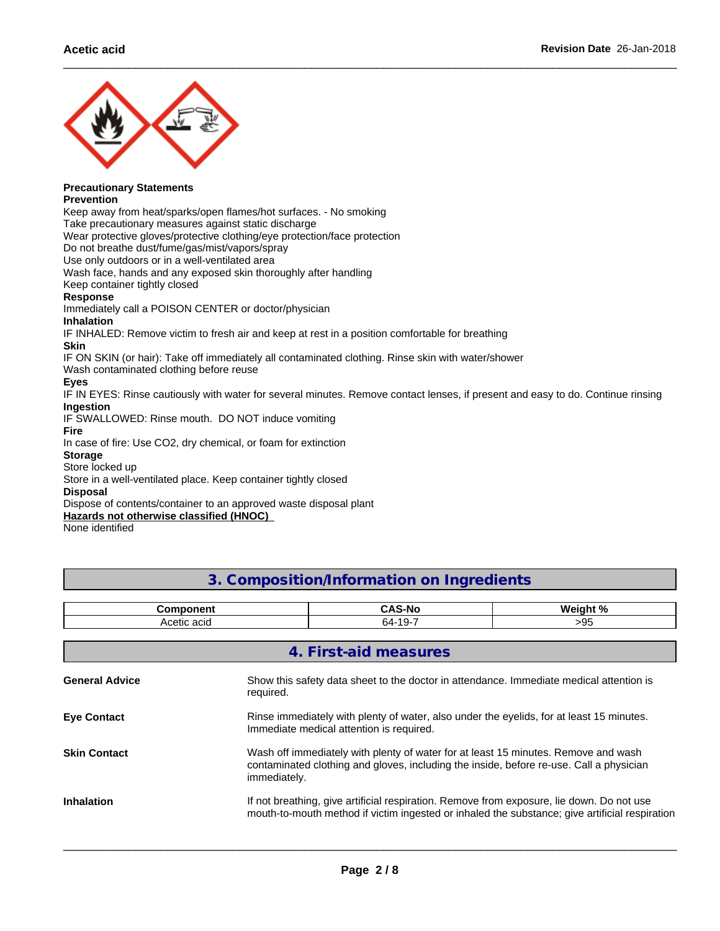

## **Precautionary Statements**

**Prevention**

Keep away from heat/sparks/open flames/hot surfaces. - No smoking

Take precautionary measures against static discharge

Wear protective gloves/protective clothing/eye protection/face protection

Do not breathe dust/fume/gas/mist/vapors/spray

Use only outdoors or in a well-ventilated area

Wash face, hands and any exposed skin thoroughly after handling

Keep container tightly closed

#### **Response**

Immediately call a POISON CENTER or doctor/physician

#### **Inhalation**

IF INHALED: Remove victim to fresh air and keep at rest in a position comfortable for breathing

#### **Skin**

IF ON SKIN (or hair): Take off immediately all contaminated clothing. Rinse skin with water/shower

Wash contaminated clothing before reuse

#### **Eyes**

IF IN EYES: Rinse cautiously with water for several minutes. Remove contact lenses, if present and easy to do. Continue rinsing **Ingestion**

IF SWALLOWED: Rinse mouth. DO NOT induce vomiting

#### **Fire**

In case of fire: Use CO2, dry chemical, or foam for extinction

### **Storage**

Store locked up

Store in a well-ventilated place. Keep container tightly closed

#### **Disposal**

Dispose of contents/container to an approved waste disposal plant

**Hazards not otherwise classified (HNOC)**

None identified

## **3. Composition/Information on Ingredients**

|                       | <b>Component</b>                                                                                     | <b>CAS-No</b>                                                                                                                                                                               | Weight % |  |  |  |
|-----------------------|------------------------------------------------------------------------------------------------------|---------------------------------------------------------------------------------------------------------------------------------------------------------------------------------------------|----------|--|--|--|
|                       | Acetic acid                                                                                          | 64-19-7                                                                                                                                                                                     | >95      |  |  |  |
|                       |                                                                                                      | 4. First-aid measures                                                                                                                                                                       |          |  |  |  |
| <b>General Advice</b> | Show this safety data sheet to the doctor in attendance. Immediate medical attention is<br>required. |                                                                                                                                                                                             |          |  |  |  |
| <b>Eye Contact</b>    |                                                                                                      | Rinse immediately with plenty of water, also under the eyelids, for at least 15 minutes.<br>Immediate medical attention is required.                                                        |          |  |  |  |
| <b>Skin Contact</b>   | immediately.                                                                                         | Wash off immediately with plenty of water for at least 15 minutes. Remove and wash<br>contaminated clothing and gloves, including the inside, before re-use. Call a physician               |          |  |  |  |
| <b>Inhalation</b>     |                                                                                                      | If not breathing, give artificial respiration. Remove from exposure, lie down. Do not use<br>mouth-to-mouth method if victim ingested or inhaled the substance; give artificial respiration |          |  |  |  |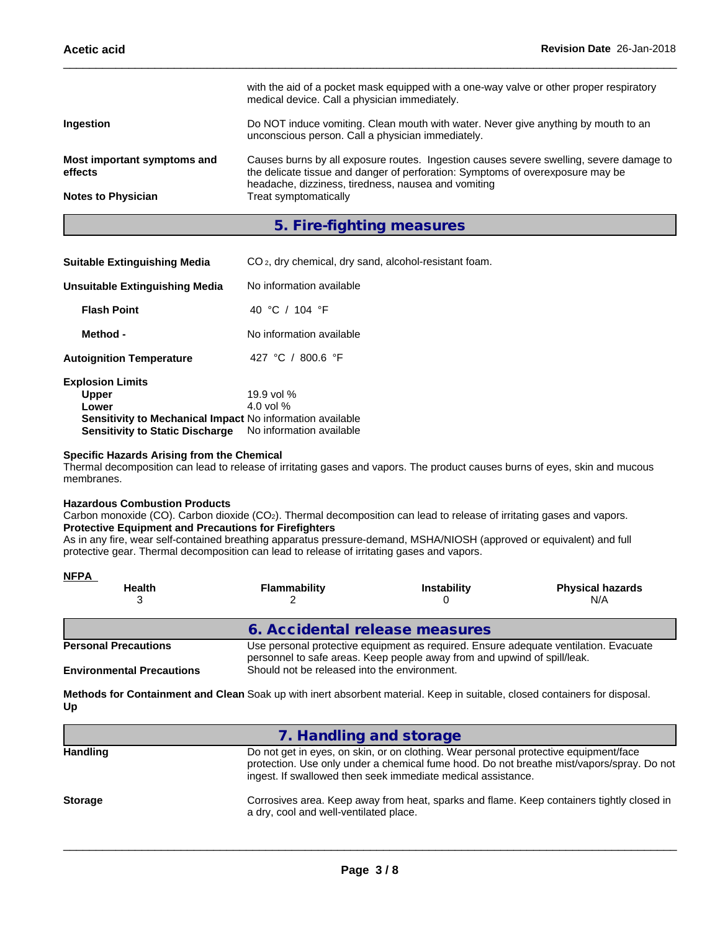| <b>Notes to Physician</b>   | headache, dizziness, tiredness, nausea and vomiting<br>Treat symptomatically                                                             |
|-----------------------------|------------------------------------------------------------------------------------------------------------------------------------------|
| effects                     | the delicate tissue and danger of perforation: Symptoms of overexposure may be                                                           |
| Most important symptoms and | Causes burns by all exposure routes. Ingestion causes severe swelling, severe damage to                                                  |
| <b>Ingestion</b>            | Do NOT induce vomiting. Clean mouth with water. Never give anything by mouth to an<br>unconscious person. Call a physician immediately.  |
|                             | with the aid of a pocket mask equipped with a one-way valve or other proper respiratory<br>medical device. Call a physician immediately. |

## **5. Fire-fighting measures**

| <b>Suitable Extinguishing Media</b>                       | CO <sub>2</sub> , dry chemical, dry sand, alcohol-resistant foam. |
|-----------------------------------------------------------|-------------------------------------------------------------------|
| Unsuitable Extinguishing Media                            | No information available                                          |
| <b>Flash Point</b>                                        | 40 °C / 104 °F                                                    |
| Method -                                                  | No information available                                          |
| <b>Autoignition Temperature</b>                           | 427 °C / 800.6 °F                                                 |
| <b>Explosion Limits</b>                                   |                                                                   |
| <b>Upper</b><br>Lower                                     | 19.9 vol $%$<br>4.0 vol $%$                                       |
|                                                           |                                                                   |
| Sensitivity to Mechanical Impact No information available |                                                                   |
| <b>Sensitivity to Static Discharge</b>                    | No information available                                          |

#### **Specific Hazards Arising from the Chemical**

Thermal decomposition can lead to release of irritating gases and vapors. The product causes burns of eyes, skin and mucous membranes.

#### **Hazardous Combustion Products**

Carbon monoxide (CO). Carbon dioxide (CO<sub>2</sub>). Thermal decomposition can lead to release of irritating gases and vapors. **Protective Equipment and Precautions for Firefighters**

As in any fire, wear self-contained breathing apparatus pressure-demand, MSHA/NIOSH (approved or equivalent) and full protective gear. Thermal decomposition can lead to release of irritating gases and vapors.

| <b>NFPA</b>                                                                                                                                                                                     |                                |                    |                                |  |
|-------------------------------------------------------------------------------------------------------------------------------------------------------------------------------------------------|--------------------------------|--------------------|--------------------------------|--|
| <b>Health</b>                                                                                                                                                                                   | Flammability                   | <b>Instability</b> | <b>Physical hazards</b><br>N/A |  |
|                                                                                                                                                                                                 | 6. Accidental release measures |                    |                                |  |
| Use personal protective equipment as required. Ensure adequate ventilation. Evacuate<br><b>Personal Precautions</b><br>personnel to safe areas. Keep people away from and upwind of spill/leak. |                                |                    |                                |  |
| Should not be released into the environment.<br><b>Environmental Precautions</b>                                                                                                                |                                |                    |                                |  |

**Methods for Containment and Clean** Soak up with inert absorbent material. Keep in suitable, closed containers for disposal. **Up**

|                 | 7. Handling and storage                                                                                                                                                                                                                           |
|-----------------|---------------------------------------------------------------------------------------------------------------------------------------------------------------------------------------------------------------------------------------------------|
| <b>Handling</b> | Do not get in eyes, on skin, or on clothing. Wear personal protective equipment/face<br>protection. Use only under a chemical fume hood. Do not breathe mist/vapors/spray. Do not<br>ingest. If swallowed then seek immediate medical assistance. |
| <b>Storage</b>  | Corrosives area. Keep away from heat, sparks and flame. Keep containers tightly closed in<br>a dry, cool and well-ventilated place.                                                                                                               |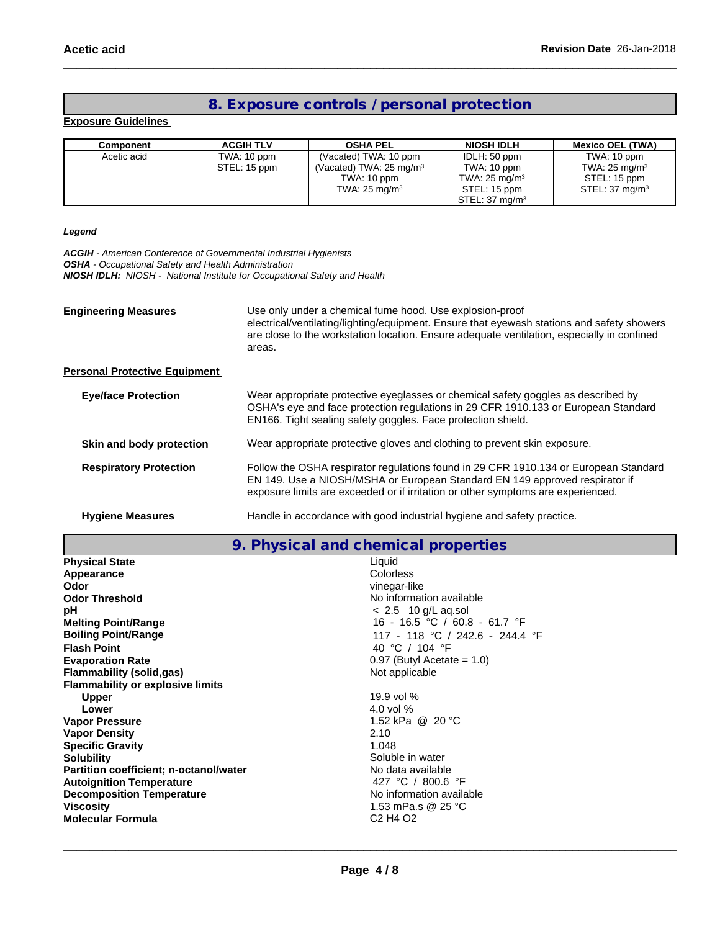## **8. Exposure controls / personal protection**

#### **Exposure Guidelines**

| Component   | <b>ACGIH TLV</b> | <b>OSHA PEL</b>                                                               | <b>NIOSH IDLH</b>                                       | <b>Mexico OEL (TWA)</b>                                               |
|-------------|------------------|-------------------------------------------------------------------------------|---------------------------------------------------------|-----------------------------------------------------------------------|
| Acetic acid | TWA: 10 ppm      | (Vacated) TWA: 10 ppm                                                         | IDLH: 50 ppm                                            | TWA: 10 ppm                                                           |
|             | STEL: 15 ppm     | (Vacated) TWA: $25 \text{ mg/m}^3$<br>TWA: 10 ppm<br>TWA: $25 \text{ mg/m}^3$ | TWA: 10 ppm<br>TWA: $25 \text{ mg/m}^3$<br>STEL: 15 ppm | TWA: $25 \text{ mg/m}^3$<br>STEL: 15 ppm<br>STEL: $37 \text{ mg/m}^3$ |
|             |                  |                                                                               | STEL: 37 ma/m <sup>3</sup>                              |                                                                       |

#### *Legend*

*ACGIH - American Conference of Governmental Industrial Hygienists OSHA - Occupational Safety and Health Administration NIOSH IDLH: NIOSH - National Institute for Occupational Safety and Health*

| <b>Engineering Measures</b>          | Use only under a chemical fume hood. Use explosion-proof<br>electrical/ventilating/lighting/equipment. Ensure that eyewash stations and safety showers<br>are close to the workstation location. Ensure adequate ventilation, especially in confined<br>areas. |
|--------------------------------------|----------------------------------------------------------------------------------------------------------------------------------------------------------------------------------------------------------------------------------------------------------------|
| <b>Personal Protective Equipment</b> |                                                                                                                                                                                                                                                                |
| <b>Eye/face Protection</b>           | Wear appropriate protective eyeglasses or chemical safety goggles as described by<br>OSHA's eye and face protection regulations in 29 CFR 1910.133 or European Standard<br>EN166. Tight sealing safety goggles. Face protection shield.                        |
| Skin and body protection             | Wear appropriate protective gloves and clothing to prevent skin exposure.                                                                                                                                                                                      |
| <b>Respiratory Protection</b>        | Follow the OSHA respirator regulations found in 29 CFR 1910.134 or European Standard<br>EN 149. Use a NIOSH/MSHA or European Standard EN 149 approved respirator if<br>exposure limits are exceeded or if irritation or other symptoms are experienced.        |
| <b>Hygiene Measures</b>              | Handle in accordance with good industrial hygiene and safety practice.                                                                                                                                                                                         |

**9. Physical and chemical properties**

| <b>Physical State</b>                         | Liquid                                       |
|-----------------------------------------------|----------------------------------------------|
| Appearance                                    | Colorless                                    |
| Odor                                          | vinegar-like                                 |
| <b>Odor Threshold</b>                         | No information available                     |
| рH                                            | $< 2.5$ 10 g/L ag.sol                        |
| <b>Melting Point/Range</b>                    | 16 - 16.5 °C / 60.8 - 61.7 °F                |
| <b>Boiling Point/Range</b>                    | 117 - 118 °C / 242.6 - 244.4 °F              |
| <b>Flash Point</b>                            | 40 °C / 104 °F                               |
| <b>Evaporation Rate</b>                       | $0.97$ (Butyl Acetate = 1.0)                 |
| <b>Flammability (solid,gas)</b>               | Not applicable                               |
| <b>Flammability or explosive limits</b>       |                                              |
| <b>Upper</b>                                  | 19.9 vol $%$                                 |
| Lower                                         | 4.0 vol $%$                                  |
| <b>Vapor Pressure</b>                         | 1.52 kPa @ 20 °C                             |
| <b>Vapor Density</b>                          | 2.10                                         |
| <b>Specific Gravity</b>                       | 1.048                                        |
| <b>Solubility</b>                             | Soluble in water                             |
| <b>Partition coefficient; n-octanol/water</b> | No data available                            |
| <b>Autoignition Temperature</b>               | 427 °C / 800.6 °F                            |
| <b>Decomposition Temperature</b>              | No information available                     |
| <b>Viscosity</b>                              | 1.53 mPa.s @ 25 °C                           |
| Molecular Formula                             | C <sub>2</sub> H <sub>4</sub> O <sub>2</sub> |
|                                               |                                              |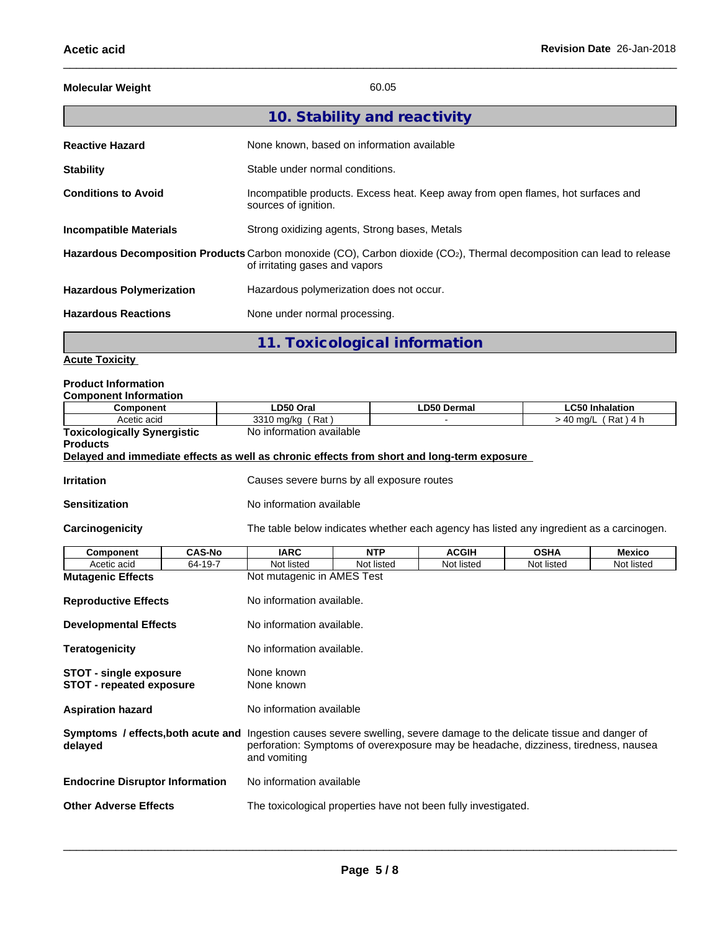| <b>Molecular Weight</b>         | 60.05                                                                                                                                                                 |
|---------------------------------|-----------------------------------------------------------------------------------------------------------------------------------------------------------------------|
|                                 | 10. Stability and reactivity                                                                                                                                          |
| <b>Reactive Hazard</b>          | None known, based on information available                                                                                                                            |
| <b>Stability</b>                | Stable under normal conditions.                                                                                                                                       |
| <b>Conditions to Avoid</b>      | Incompatible products. Excess heat. Keep away from open flames, hot surfaces and<br>sources of ignition.                                                              |
| <b>Incompatible Materials</b>   | Strong oxidizing agents, Strong bases, Metals                                                                                                                         |
|                                 | Hazardous Decomposition Products Carbon monoxide (CO), Carbon dioxide (CO <sub>2</sub> ), Thermal decomposition can lead to release<br>of irritating gases and vapors |
| <b>Hazardous Polymerization</b> | Hazardous polymerization does not occur.                                                                                                                              |
| <b>Hazardous Reactions</b>      | None under normal processing.                                                                                                                                         |
|                                 | 11. Toxicological information                                                                                                                                         |

#### **Acute Toxicity**

## **Product Information**

| <b>Component Information</b>       |                          |             |                                  |
|------------------------------------|--------------------------|-------------|----------------------------------|
| Component                          | LD50 Oral                | LD50 Dermal | ∟C50 Inhalation                  |
| Acetic acid                        | 3310 ma/ka<br>Rat        |             | Rat)<br>) 4 h<br>$\cdot$ 40 ma/L |
| <b>Toxicologically Synergistic</b> | No information available |             |                                  |

```
Products
```
#### **Delayed and immediate effects as well as chronic effects from short and long-term exposure**

**Irritation Irritation Causes severe burns by all exposure routes** 

**Sensitization** No information available

Carcinogenicity **The table below indicates whether each agency has listed any ingredient as a carcinogen.** 

| Component                              | <b>CAS-No</b> | <b>IARC</b>                                                                                                                                                                                                                           | <b>NTP</b> | <b>ACGIH</b> | <b>OSHA</b> | <b>Mexico</b> |  |  |
|----------------------------------------|---------------|---------------------------------------------------------------------------------------------------------------------------------------------------------------------------------------------------------------------------------------|------------|--------------|-------------|---------------|--|--|
| Acetic acid                            | 64-19-7       | Not listed                                                                                                                                                                                                                            | Not listed | Not listed   | Not listed  | Not listed    |  |  |
| <b>Mutagenic Effects</b>               |               | Not mutagenic in AMES Test                                                                                                                                                                                                            |            |              |             |               |  |  |
| <b>Reproductive Effects</b>            |               | No information available.                                                                                                                                                                                                             |            |              |             |               |  |  |
| <b>Developmental Effects</b>           |               | No information available.                                                                                                                                                                                                             |            |              |             |               |  |  |
| <b>Teratogenicity</b>                  |               | No information available.                                                                                                                                                                                                             |            |              |             |               |  |  |
| STOT - single exposure                 |               | None known                                                                                                                                                                                                                            |            |              |             |               |  |  |
| <b>STOT - repeated exposure</b>        |               | None known                                                                                                                                                                                                                            |            |              |             |               |  |  |
| <b>Aspiration hazard</b>               |               | No information available                                                                                                                                                                                                              |            |              |             |               |  |  |
| delayed                                |               | <b>Symptoms / effects, both acute and</b> Ingestion causes severe swelling, severe damage to the delicate tissue and danger of<br>perforation: Symptoms of overexposure may be headache, dizziness, tiredness, nausea<br>and vomiting |            |              |             |               |  |  |
| <b>Endocrine Disruptor Information</b> |               | No information available                                                                                                                                                                                                              |            |              |             |               |  |  |
| <b>Other Adverse Effects</b>           |               | The toxicological properties have not been fully investigated.                                                                                                                                                                        |            |              |             |               |  |  |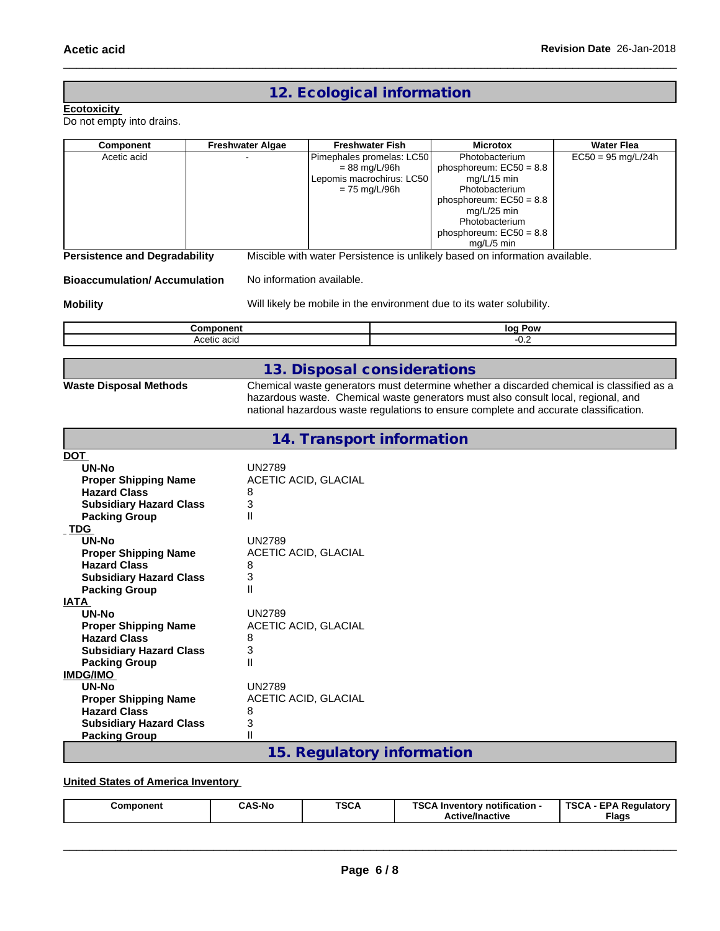## **12. Ecological information**

#### **Ecotoxicity**

Do not empty into drains.

| Component                                                                                                                                                                                                                                                                                                                                                                                                                                                               | <b>Freshwater Algae</b>                                                                                                                                                               | <b>Freshwater Fish</b>                                                                       | <b>Microtox</b>                                                                                                                                                                                                                                                       | <b>Water Flea</b>    |
|-------------------------------------------------------------------------------------------------------------------------------------------------------------------------------------------------------------------------------------------------------------------------------------------------------------------------------------------------------------------------------------------------------------------------------------------------------------------------|---------------------------------------------------------------------------------------------------------------------------------------------------------------------------------------|----------------------------------------------------------------------------------------------|-----------------------------------------------------------------------------------------------------------------------------------------------------------------------------------------------------------------------------------------------------------------------|----------------------|
| Acetic acid                                                                                                                                                                                                                                                                                                                                                                                                                                                             |                                                                                                                                                                                       | Pimephales promelas: LC50<br>$= 88$ mg/L/96h<br>Lepomis macrochirus: LC50<br>$= 75$ mg/L/96h | Photobacterium<br>phosphoreum: $EC50 = 8.8$<br>mg/L/15 min<br>Photobacterium<br>phosphoreum: $EC50 = 8.8$<br>mg/L/25 min<br>Photobacterium<br>phosphoreum: $EC50 = 8.8$<br>mg/L/5 min                                                                                 | $EC50 = 95$ mg/L/24h |
| <b>Persistence and Degradability</b>                                                                                                                                                                                                                                                                                                                                                                                                                                    |                                                                                                                                                                                       |                                                                                              | Miscible with water Persistence is unlikely based on information available.                                                                                                                                                                                           |                      |
| <b>Bioaccumulation/ Accumulation</b>                                                                                                                                                                                                                                                                                                                                                                                                                                    | No information available.                                                                                                                                                             |                                                                                              |                                                                                                                                                                                                                                                                       |                      |
| <b>Mobility</b>                                                                                                                                                                                                                                                                                                                                                                                                                                                         |                                                                                                                                                                                       |                                                                                              | Will likely be mobile in the environment due to its water solubility.                                                                                                                                                                                                 |                      |
|                                                                                                                                                                                                                                                                                                                                                                                                                                                                         | Component                                                                                                                                                                             |                                                                                              | log Pow                                                                                                                                                                                                                                                               |                      |
|                                                                                                                                                                                                                                                                                                                                                                                                                                                                         | Acetic acid                                                                                                                                                                           |                                                                                              | $-0.2$                                                                                                                                                                                                                                                                |                      |
|                                                                                                                                                                                                                                                                                                                                                                                                                                                                         |                                                                                                                                                                                       | 13. Disposal considerations                                                                  |                                                                                                                                                                                                                                                                       |                      |
| <b>Waste Disposal Methods</b>                                                                                                                                                                                                                                                                                                                                                                                                                                           |                                                                                                                                                                                       |                                                                                              | Chemical waste generators must determine whether a discarded chemical is classified as a<br>hazardous waste. Chemical waste generators must also consult local, regional, and<br>national hazardous waste regulations to ensure complete and accurate classification. |                      |
|                                                                                                                                                                                                                                                                                                                                                                                                                                                                         |                                                                                                                                                                                       | 14. Transport information                                                                    |                                                                                                                                                                                                                                                                       |                      |
| <b>DOT</b><br><b>UN-No</b><br><b>Proper Shipping Name</b><br><b>Hazard Class</b><br><b>Subsidiary Hazard Class</b><br><b>Packing Group</b><br>$\_TDG$<br><b>UN-No</b><br><b>Proper Shipping Name</b><br><b>Hazard Class</b><br><b>Subsidiary Hazard Class</b><br><b>Packing Group</b><br><b>IATA</b><br><b>UN-No</b><br><b>Proper Shipping Name</b><br><b>Hazard Class</b><br><b>Subsidiary Hazard Class</b><br><b>Packing Group</b><br><b>IMDG/IMO</b><br><b>UN-No</b> | <b>UN2789</b><br>ACETIC ACID, GLACIAL<br>8<br>3<br>Ш<br><b>UN2789</b><br>ACETIC ACID, GLACIAL<br>8<br>3<br>Ш<br><b>UN2789</b><br>ACETIC ACID, GLACIAL<br>8<br>3<br>Ш<br><b>UN2789</b> |                                                                                              |                                                                                                                                                                                                                                                                       |                      |
| <b>Proper Shipping Name</b><br><b>Hazard Class</b><br><b>Subsidiary Hazard Class</b>                                                                                                                                                                                                                                                                                                                                                                                    | <b>ACETIC ACID, GLACIAL</b><br>8<br>3                                                                                                                                                 |                                                                                              |                                                                                                                                                                                                                                                                       |                      |
| <b>Packing Group</b>                                                                                                                                                                                                                                                                                                                                                                                                                                                    | Ш                                                                                                                                                                                     |                                                                                              |                                                                                                                                                                                                                                                                       |                      |
|                                                                                                                                                                                                                                                                                                                                                                                                                                                                         |                                                                                                                                                                                       | 15. Regulatory information                                                                   |                                                                                                                                                                                                                                                                       |                      |

## **United States of America Inventory**

| <b>TSCA</b><br>TSC.<br><b>TSCA</b><br><b>CAS-No</b><br>. EDA D<br><br>Regulatory<br>· notification -<br>Component<br>. Inventor<br>___<br>Flags<br><b>Active/Inactive</b> |
|---------------------------------------------------------------------------------------------------------------------------------------------------------------------------|
|---------------------------------------------------------------------------------------------------------------------------------------------------------------------------|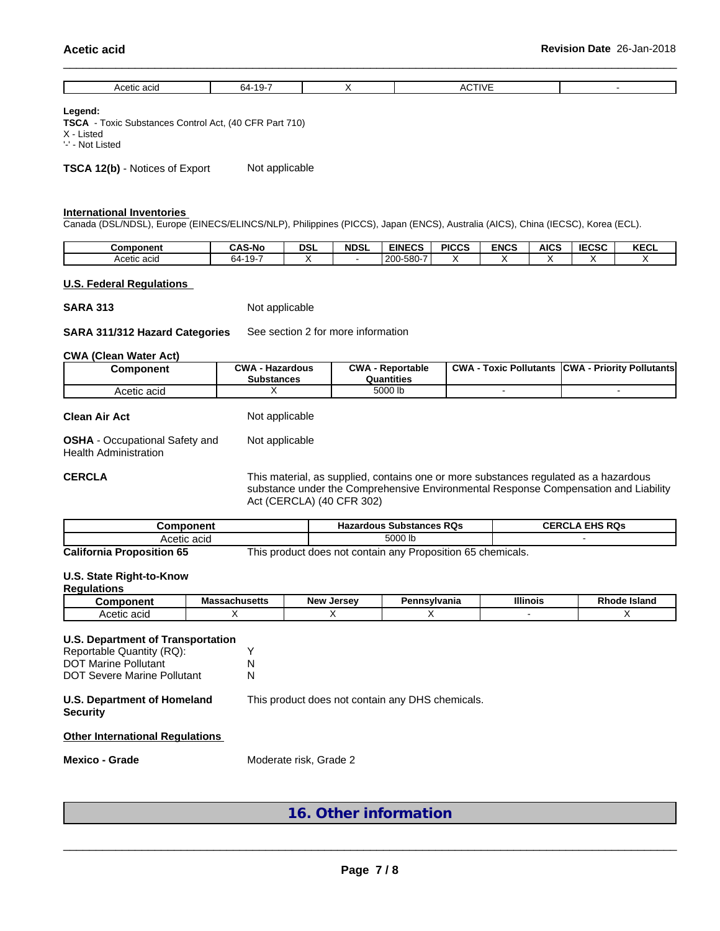| $-1$<br>ACC.<br>17 ב<br>ъд.<br>---<br><br>. |  |  |  |
|---------------------------------------------|--|--|--|
|                                             |  |  |  |

#### **Legend:**

**TSCA** - Toxic Substances Control Act, (40 CFR Part 710) X - Listed '-' - Not Listed

**TSCA 12(b)** - Notices of Export Not applicable

#### **International Inventories**

Canada (DSL/NDSL), Europe (EINECS/ELINCS/NLP), Philippines (PICCS), Japan (ENCS), Australia (AICS), China (IECSC), Korea (ECL).

| Component   | ົAS-No                      | <b>DSL</b> | <b>NDSL</b> | <b>EINECS</b>                           | <b>PICCS</b> | <b>ENCS</b> | AICS | <b>IECSC</b> | <b>KECL</b> |
|-------------|-----------------------------|------------|-------------|-----------------------------------------|--------------|-------------|------|--------------|-------------|
| Acetic acid | $\sim$ $\sim$<br>64-<br>19- |            |             | $-\sim -$<br>200<br>بيدين<br>טטט<br>∠∪ບ |              |             |      |              |             |

#### **U.S. Federal Regulations**

**SARA 313** Not applicable

#### **SARA 311/312 Hazard Categories** See section 2 for more information

#### **CWA** (Clean Water Act)

| Component   | <b>CWA</b><br><b>Hazardous</b><br>Substances | <b>CWA</b><br>· Reportable<br>Quantities | <b>CWA</b><br><b>Foxic Pollutants</b> | <b>ICWA</b><br><b>Priority Pollutants</b> |
|-------------|----------------------------------------------|------------------------------------------|---------------------------------------|-------------------------------------------|
| Acetic acid |                                              | 5000 lb                                  |                                       |                                           |

| <b>Clean Air Act</b> | Not applicable |
|----------------------|----------------|
|                      |                |

**OSHA** - Occupational Safety and Not applicable

Health Administration

**CERCLA** This material, as supplied, contains one or more substances regulated as a hazardous substance under the Comprehensive Environmental Response Compensation and Liability Act (CERCLA) (40 CFR 302)

| Component                        | <b>Hazardous Substances RQs</b>                             | <b>CERCLA EHS RQS</b> |
|----------------------------------|-------------------------------------------------------------|-----------------------|
| Acetic acid                      | 5000 lb                                                     |                       |
| <b>California Proposition 65</b> | This product does not contain anv Proposition 65 chemicals. |                       |

#### **U.S. State Right-to-Know**

#### **Regulations**

| ויי mponent    | - -<br>-eegebusett<br>Massachusetts | <b>New</b><br>larcay<br>JEISE | ınsvivania<br>ъ.<br><b>enns</b> \ | <b>Illinois</b> | Island<br>э ы<br>Rnode |
|----------------|-------------------------------------|-------------------------------|-----------------------------------|-----------------|------------------------|
| acid<br>Acetic |                                     |                               |                                   |                 |                        |

#### **U.S. Department of Transportation**

| Reportable Quantity (RQ):   |   |
|-----------------------------|---|
| <b>DOT Marine Pollutant</b> | N |
| DOT Severe Marine Pollutant | N |

#### **U.S. Department of Homeland** This product does not contain any DHS chemicals.

**Security**

#### **Other International Regulations**

**Mexico - Grade** Moderate risk, Grade 2

**16. Other information**